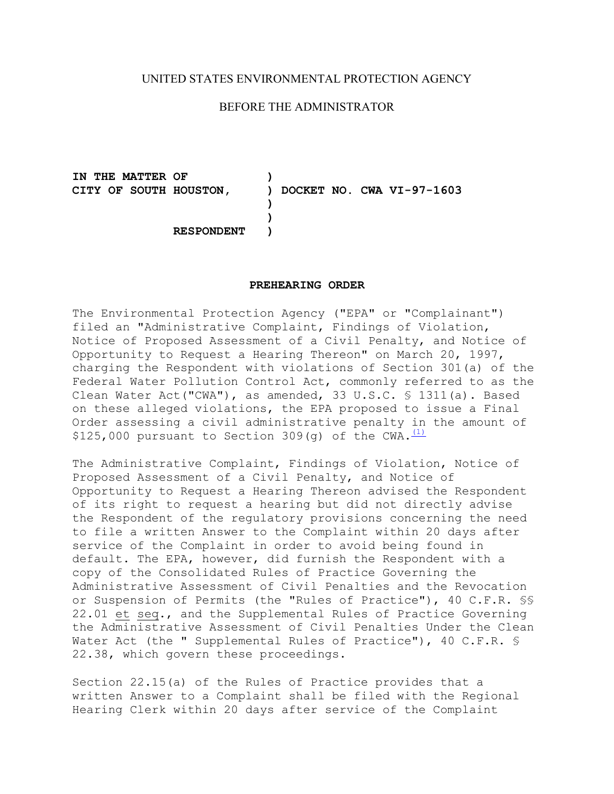## UNITED STATES ENVIRONMENTAL PROTECTION AGENCY

## BEFORE THE ADMINISTRATOR

**IN THE MATTER OF ) CITY OF SOUTH HOUSTON, ) DOCKET NO. CWA VI-97-1603** 

**RESPONDENT )** 

## **PREHEARING ORDER**

**) )** 

The Environmental Protection Agency ("EPA" or "Complainant") filed an "Administrative Complaint, Findings of Violation, Notice of Proposed Assessment of a Civil Penalty, and Notice of Opportunity to Request a Hearing Thereon" on March 20, 1997, charging the Respondent with violations of Section 301(a) of the Federal Water Pollution Control Act, commonly referred to as the Clean Water Act("CWA"), as amended, 33 U.S.C. § 1311(a). Based on these alleged violations, the EPA proposed to issue a Final Order assessing a civil administrative penalty in the amount of \$125,000 pursuant to Section 309(q) of the CWA.  $(1)$ 

The Administrative Complaint, Findings of Violation, Notice of Proposed Assessment of a Civil Penalty, and Notice of Opportunity to Request a Hearing Thereon advised the Respondent of its right to request a hearing but did not directly advise the Respondent of the regulatory provisions concerning the need to file a written Answer to the Complaint within 20 days after service of the Complaint in order to avoid being found in default. The EPA, however, did furnish the Respondent with a copy of the Consolidated Rules of Practice Governing the Administrative Assessment of Civil Penalties and the Revocation or Suspension of Permits (the "Rules of Practice"), 40 C.F.R. §§ 22.01 et seq., and the Supplemental Rules of Practice Governing the Administrative Assessment of Civil Penalties Under the Clean Water Act (the " Supplemental Rules of Practice"), 40 C.F.R. § 22.38, which govern these proceedings.

Section 22.15(a) of the Rules of Practice provides that a written Answer to a Complaint shall be filed with the Regional Hearing Clerk within 20 days after service of the Complaint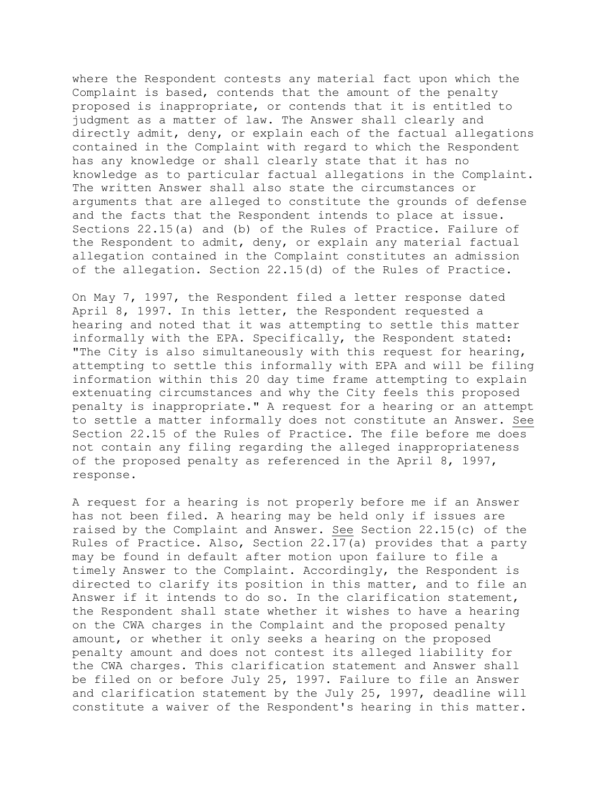where the Respondent contests any material fact upon which the Complaint is based, contends that the amount of the penalty proposed is inappropriate, or contends that it is entitled to judgment as a matter of law. The Answer shall clearly and directly admit, deny, or explain each of the factual allegations contained in the Complaint with regard to which the Respondent has any knowledge or shall clearly state that it has no knowledge as to particular factual allegations in the Complaint. The written Answer shall also state the circumstances or arguments that are alleged to constitute the grounds of defense and the facts that the Respondent intends to place at issue. Sections 22.15(a) and (b) of the Rules of Practice. Failure of the Respondent to admit, deny, or explain any material factual allegation contained in the Complaint constitutes an admission of the allegation. Section 22.15(d) of the Rules of Practice.

On May 7, 1997, the Respondent filed a letter response dated April 8, 1997. In this letter, the Respondent requested a hearing and noted that it was attempting to settle this matter informally with the EPA. Specifically, the Respondent stated: "The City is also simultaneously with this request for hearing, attempting to settle this informally with EPA and will be filing information within this 20 day time frame attempting to explain extenuating circumstances and why the City feels this proposed penalty is inappropriate." A request for a hearing or an attempt to settle a matter informally does not constitute an Answer. See Section 22.15 of the Rules of Practice. The file before me does not contain any filing regarding the alleged inappropriateness of the proposed penalty as referenced in the April 8, 1997, response.

A request for a hearing is not properly before me if an Answer has not been filed. A hearing may be held only if issues are raised by the Complaint and Answer. See Section 22.15(c) of the Rules of Practice. Also, Section 22.17(a) provides that a party may be found in default after motion upon failure to file a timely Answer to the Complaint. Accordingly, the Respondent is directed to clarify its position in this matter, and to file an Answer if it intends to do so. In the clarification statement, the Respondent shall state whether it wishes to have a hearing on the CWA charges in the Complaint and the proposed penalty amount, or whether it only seeks a hearing on the proposed penalty amount and does not contest its alleged liability for the CWA charges. This clarification statement and Answer shall be filed on or before July 25, 1997. Failure to file an Answer and clarification statement by the July 25, 1997, deadline will constitute a waiver of the Respondent's hearing in this matter.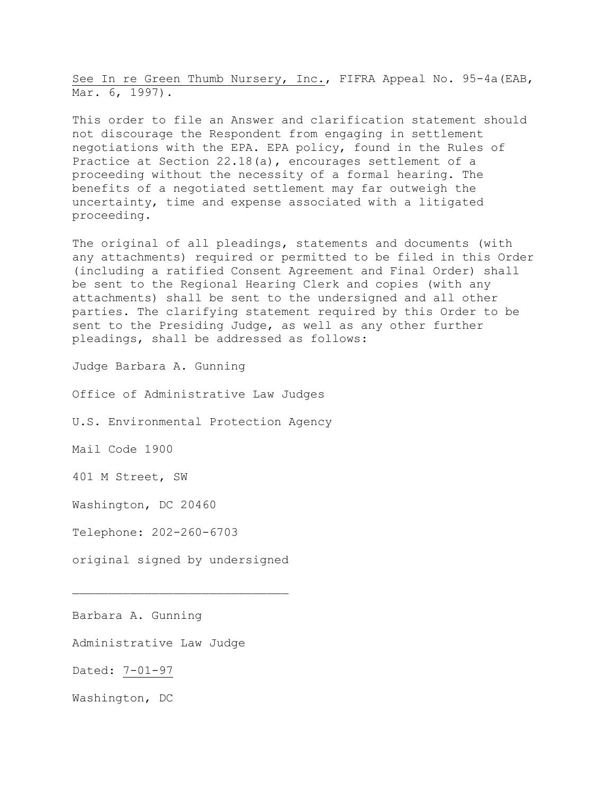See In re Green Thumb Nursery, Inc., FIFRA Appeal No. 95-4a(EAB, Mar. 6, 1997).

This order to file an Answer and clarification statement should not discourage the Respondent from engaging in settlement negotiations with the EPA. EPA policy, found in the Rules of Practice at Section 22.18(a), encourages settlement of a proceeding without the necessity of a formal hearing. The benefits of a negotiated settlement may far outweigh the uncertainty, time and expense associated with a litigated proceeding.

The original of all pleadings, statements and documents (with any attachments) required or permitted to be filed in this Order (including a ratified Consent Agreement and Final Order) shall be sent to the Regional Hearing Clerk and copies (with any attachments) shall be sent to the undersigned and all other parties. The clarifying statement required by this Order to be sent to the Presiding Judge, as well as any other further pleadings, shall be addressed as follows:

Judge Barbara A. Gunning

Office of Administrative Law Judges

U.S. Environmental Protection Agency

Mail Code 1900

401 M Street, SW

Washington, DC 20460

Telephone: 202-260-6703

original signed by undersigned

Barbara A. Gunning

Administrative Law Judge

Dated: 7-01-97

Washington, DC